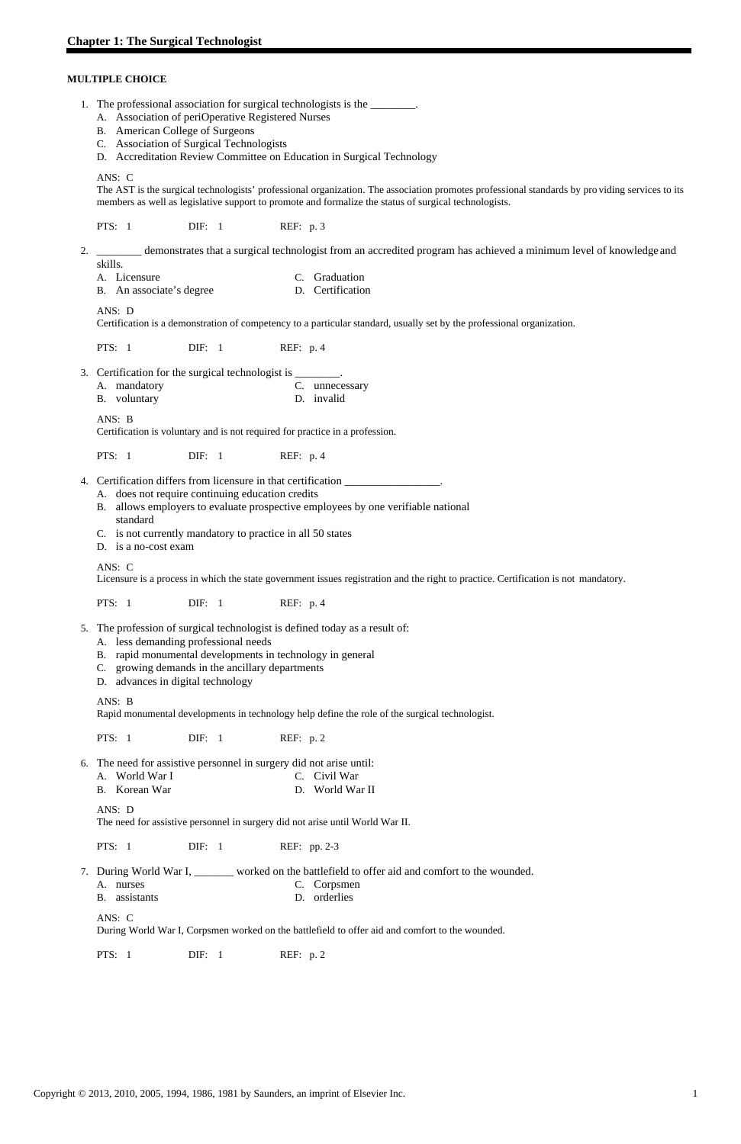## **MULTIPLE CHOICE**

|    | 1. The professional association for surgical technologists is the ________.<br>A. Association of periOperative Registered Nurses<br>B. American College of Surgeons<br>C. Association of Surgical Technologists<br>D. Accreditation Review Committee on Education in Surgical Technology<br>ANS: C                        |  |  |  |  |  |  |  |
|----|---------------------------------------------------------------------------------------------------------------------------------------------------------------------------------------------------------------------------------------------------------------------------------------------------------------------------|--|--|--|--|--|--|--|
|    | The AST is the surgical technologists' professional organization. The association promotes professional standards by providing services to its<br>members as well as legislative support to promote and formalize the status of surgical technologists.                                                                   |  |  |  |  |  |  |  |
|    | PTS: $1$<br>REF: p. 3<br>$\text{DIF:} \quad 1$                                                                                                                                                                                                                                                                            |  |  |  |  |  |  |  |
|    | demonstrates that a surgical technologist from an accredited program has achieved a minimum level of knowledge and<br>skills.<br>C. Graduation<br>A. Licensure                                                                                                                                                            |  |  |  |  |  |  |  |
|    | D. Certification<br>B. An associate's degree                                                                                                                                                                                                                                                                              |  |  |  |  |  |  |  |
|    | ANS: D<br>Certification is a demonstration of competency to a particular standard, usually set by the professional organization.                                                                                                                                                                                          |  |  |  |  |  |  |  |
|    | PTS: $1$<br>REF: $p.4$<br>$\text{DIF:} \quad 1$                                                                                                                                                                                                                                                                           |  |  |  |  |  |  |  |
| 3. | Certification for the surgical technologist is ________.<br>A. mandatory<br>C. unnecessary<br>B. voluntary<br>D. invalid                                                                                                                                                                                                  |  |  |  |  |  |  |  |
|    | ANS: B<br>Certification is voluntary and is not required for practice in a profession.                                                                                                                                                                                                                                    |  |  |  |  |  |  |  |
|    | PTS: $1$<br>$\text{DIF:} \quad 1$<br>REF: $p.4$                                                                                                                                                                                                                                                                           |  |  |  |  |  |  |  |
|    | Certification differs from licensure in that certification ___________________.<br>A. does not require continuing education credits<br>B. allows employers to evaluate prospective employees by one verifiable national<br>standard<br>C. is not currently mandatory to practice in all 50 states<br>D. is a no-cost exam |  |  |  |  |  |  |  |
|    | ANS: C<br>Licensure is a process in which the state government issues registration and the right to practice. Certification is not mandatory.                                                                                                                                                                             |  |  |  |  |  |  |  |
|    | <b>PTS: 1</b><br>$\text{DIF:} \quad 1$<br>REF: $p.4$                                                                                                                                                                                                                                                                      |  |  |  |  |  |  |  |
| 5. | The profession of surgical technologist is defined today as a result of:<br>A. less demanding professional needs<br>B. rapid monumental developments in technology in general<br>C. growing demands in the ancillary departments<br>D. advances in digital technology                                                     |  |  |  |  |  |  |  |
|    | ANS: B<br>Rapid monumental developments in technology help define the role of the surgical technologist.                                                                                                                                                                                                                  |  |  |  |  |  |  |  |
|    | <b>PTS: 1</b><br>$\text{DIF:} \quad 1$<br>REF: $p.2$                                                                                                                                                                                                                                                                      |  |  |  |  |  |  |  |
|    | 6. The need for assistive personnel in surgery did not arise until:<br>A. World War I<br>C. Civil War<br>B. Korean War<br>D. World War II                                                                                                                                                                                 |  |  |  |  |  |  |  |

ANS: D

The need for assistive personnel in surgery did not arise until World War II.

PTS: 1 DIF: 1 REF: pp. 2-3

- 7. During World War I, \_\_\_\_\_\_\_ worked on the battlefield to offer aid and comfort to the wounded.
	- A. nurses C. Corpsmen
	- B. assistants D. orderlies

ANS: C

During World War I, Corpsmen worked on the battlefield to offer aid and comfort to the wounded.

PTS: 1 DIF: 1 REF: p. 2

Copyright © 2013, 2010, 2005, 1994, 1986, 1981 by Saunders, an imprint of Elsevier Inc. 1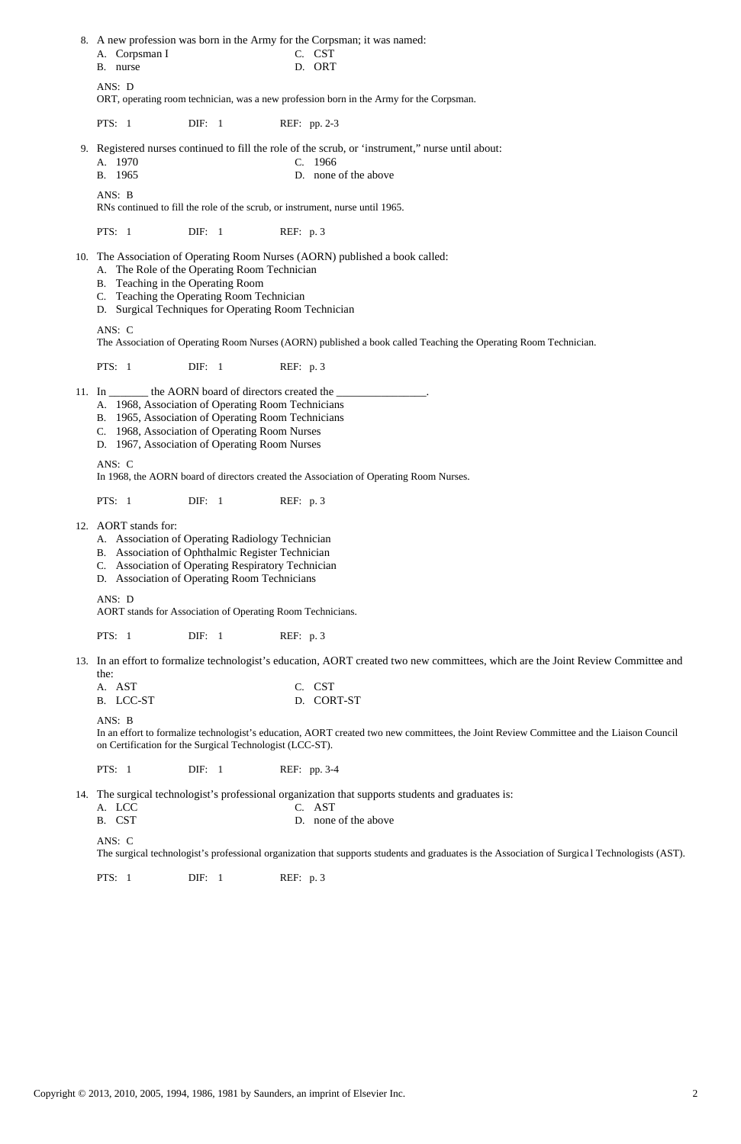8. A new profession was born in the Army for the Corpsman; it was named: A. Corpsman I C. CST B. nurse D. ORT ANS: D ORT, operating room technician, was a new profession born in the Army for the Corpsman. PTS: 1 DIF: 1 REF: pp. 2-3 9. Registered nurses continued to fill the role of the scrub, or 'instrument," nurse until about: A. 1970 C. 1966 B. 1965 D. none of the above ANS: B RNs continued to fill the role of the scrub, or instrument, nurse until 1965. PTS: 1 DIF: 1 REF: p. 3 10. The Association of Operating Room Nurses (AORN) published a book called: A. The Role of the Operating Room Technician B. Teaching in the Operating Room C. Teaching the Operating Room Technician D. Surgical Techniques for Operating Room Technician ANS: C The Association of Operating Room Nurses (AORN) published a book called Teaching the Operating Room Technician. PTS: 1 DIF: 1 REF: p. 3 11. In \_\_\_\_\_\_\_\_\_\_\_ the AORN board of directors created the A. 1968, Association of Operating Room Technicians B. 1965, Association of Operating Room Technicians C. 1968, Association of Operating Room Nurses D. 1967, Association of Operating Room Nurses ANS: C In 1968, the AORN board of directors created the Association of Operating Room Nurses. PTS: 1 DIF: 1 REF: p. 3 12. AORT stands for: A. Association of Operating Radiology Technician B. Association of Ophthalmic Register Technician C. Association of Operating Respiratory Technician D. Association of Operating Room Technicians ANS: D AORT stands for Association of Operating Room Technicians. PTS: 1 DIF: 1 REF: p. 3 13. In an effort to formalize technologist's education, AORT created two new committees, which are the Joint Review Committee and the: A. AST C. CST B. LCC-ST D. CORT-ST ANS: B In an effort to formalize technologist's education, AORT created two new committees, the Joint Review Committee and the Liaison Council on Certification for the Surgical Technologist (LCC-ST). PTS: 1 DIF: 1 REF: pp. 3-4 14. The surgical technologist's professional organization that supports students and graduates is: A. LCC C. AST

- B. CST D. none of the above
- 

ANS: C

The surgical technologist's professional organization that supports students and graduates is the Association of Surgica l Technologists (AST).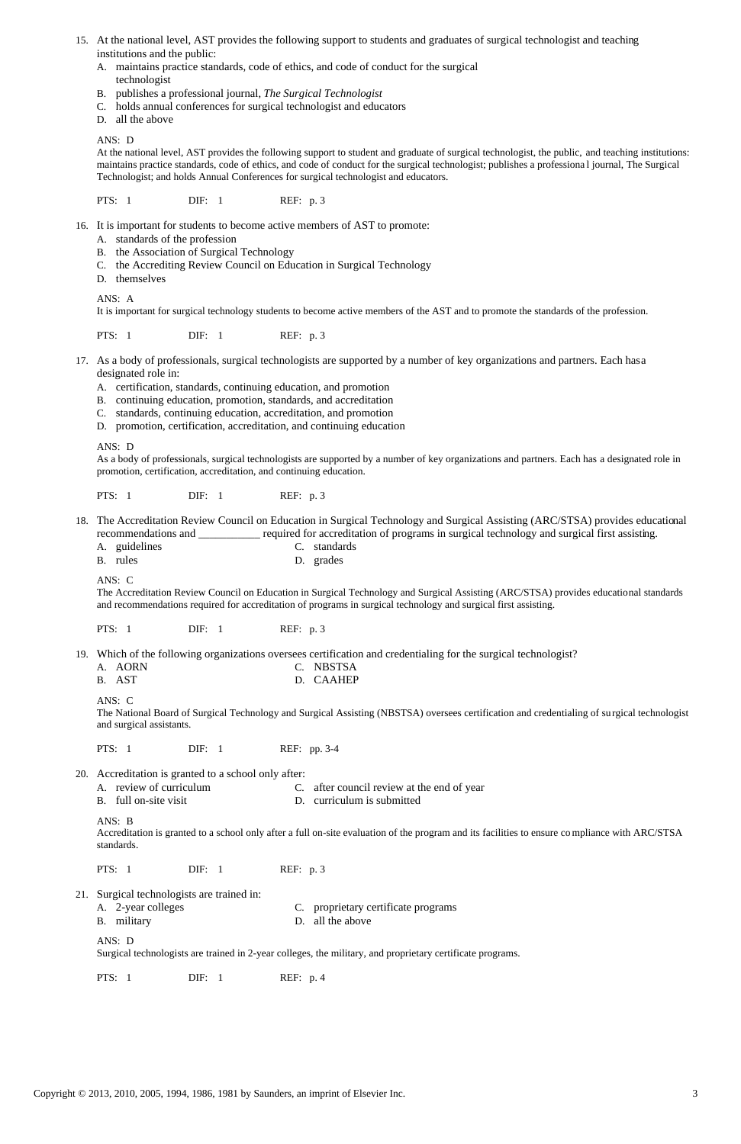- 15. At the national level, AST provides the following support to students and graduates of surgical technologist and teaching institutions and the public:
	- A. maintains practice standards, code of ethics, and code of conduct for the surgical technologist
	- B. publishes a professional journal, *The Surgical Technologist*
	- C. holds annual conferences for surgical technologist and educators
	- D. all the above

## ANS: D

At the national level, AST provides the following support to student and graduate of surgical technologist, the public, and teaching institutions: maintains practice standards, code of ethics, and code of conduct for the surgical technologist; publishes a professiona l journal, The Surgical Technologist; and holds Annual Conferences for surgical technologist and educators.

PTS: 1 DIF: 1 REF: p. 3

- 18. The Accreditation Review Council on Education in Surgical Technology and Surgical Assisting (ARC/STSA) provides educational recommendations and \_\_\_\_\_\_\_\_\_\_\_ required for accreditation of programs in surgical technology and surgical first assisting.
	- A. guidelines C. standards
	- B. rules D. grades
- 16. It is important for students to become active members of AST to promote:
	- A. standards of the profession
	- B. the Association of Surgical Technology
	- C. the Accrediting Review Council on Education in Surgical Technology
	- D. themselves

ANS: A

It is important for surgical technology students to become active members of the AST and to promote the standards of the profession.

PTS: 1 DIF: 1 REF: p. 3

- 20. Accreditation is granted to a school only after:
	- A. review of curriculum C. after council review at the end of year
	- B. full on-site visit D. curriculum is submitted
- 17. As a body of professionals, surgical technologists are supported by a number of key organizations and partners. Each has a designated role in:
	- A. certification, standards, continuing education, and promotion
	- B. continuing education, promotion, standards, and accreditation
	- C. standards, continuing education, accreditation, and promotion
	- D. promotion, certification, accreditation, and continuing education

ANS: D

As a body of professionals, surgical technologists are supported by a number of key organizations and partners. Each has a designated role in promotion, certification, accreditation, and continuing education.

PTS: 1 DIF: 1 REF: p. 3

ANS: C

The Accreditation Review Council on Education in Surgical Technology and Surgical Assisting (ARC/STSA) provides educational standards and recommendations required for accreditation of programs in surgical technology and surgical first assisting.

PTS: 1 DIF: 1 REF: p. 3

19. Which of the following organizations oversees certification and credentialing for the surgical technologist?

| A. AORN | C. NBSTSA |
|---------|-----------|
| B. AST  | D. CAAHEP |

ANS: C

The National Board of Surgical Technology and Surgical Assisting (NBSTSA) oversees certification and credentialing of surgical technologist and surgical assistants.

PTS: 1 DIF: 1 REF: pp. 3-4

ANS: B

Accreditation is granted to a school only after a full on-site evaluation of the program and its facilities to ensure co mpliance with ARC/STSA

standards.

PTS: 1 DIF: 1 REF: p. 3

#### 21. Surgical technologists are trained in:

A. 2-year colleges C. proprietary certificate programs B. military D. all the above

ANS: D

Surgical technologists are trained in 2-year colleges, the military, and proprietary certificate programs.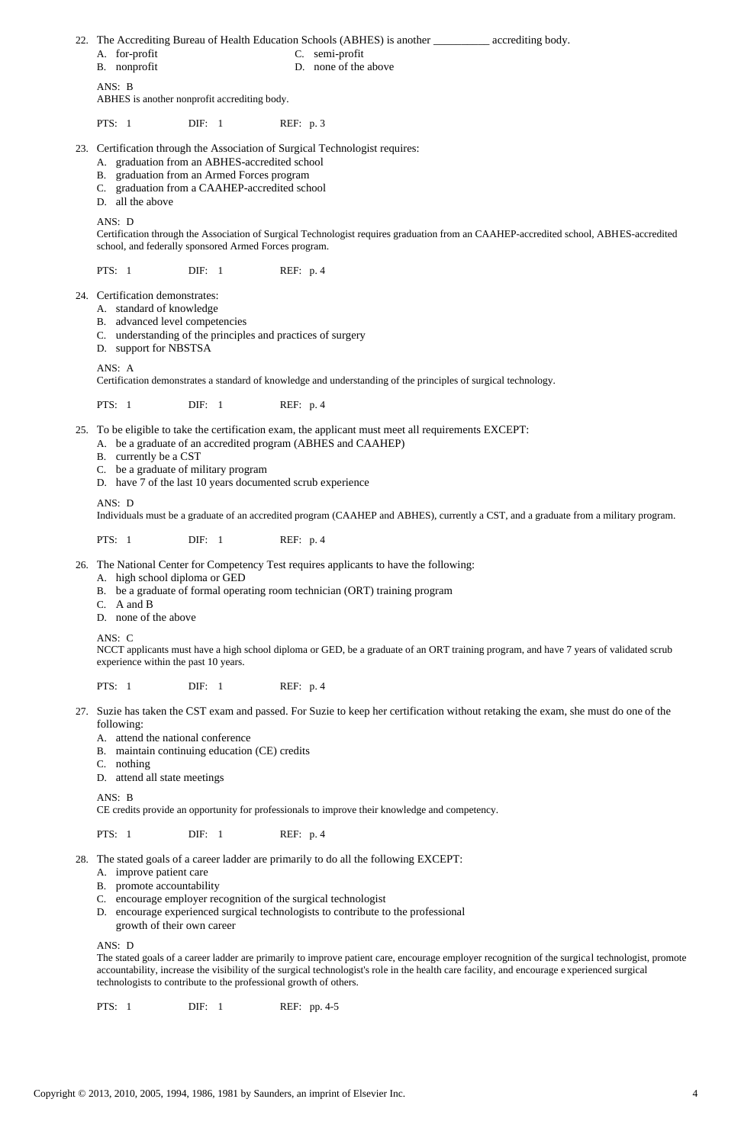- A. for-profit C. semi-profit
- B. nonprofit D. none of the above

22. The Accrediting Bureau of Health Education Schools (ABHES) is another \_\_\_\_\_\_\_\_\_\_ accrediting body.

ANS: B

ABHES is another nonprofit accrediting body.

PTS: 1 DIF: 1 REF: p. 3

- 23. Certification through the Association of Surgical Technologist requires:
	- A. graduation from an ABHES-accredited school
	- B. graduation from an Armed Forces program
	- C. graduation from a CAAHEP-accredited school
	- D. all the above

## ANS: D

Certification through the Association of Surgical Technologist requires graduation from an CAAHEP-accredited school, ABHES-accredited school, and federally sponsored Armed Forces program.

PTS: 1 DIF: 1 REF: p. 4

24. Certification demonstrates:

- A. standard of knowledge
- B. advanced level competencies
- C. understanding of the principles and practices of surgery
- D. support for NBSTSA

#### ANS: A

Certification demonstrates a standard of knowledge and understanding of the principles of surgical technology.

PTS: 1 DIF: 1 REF: p. 4

- 25. To be eligible to take the certification exam, the applicant must meet all requirements EXCEPT:
	- A. be a graduate of an accredited program (ABHES and CAAHEP)
	- B. currently be a CST
	- C. be a graduate of military program
	- D. have 7 of the last 10 years documented scrub experience

## ANS: D

Individuals must be a graduate of an accredited program (CAAHEP and ABHES), currently a CST, and a graduate from a military program.

PTS: 1 DIF: 1 REF: p. 4

26. The National Center for Competency Test requires applicants to have the following:

- A. high school diploma or GED
- B. be a graduate of formal operating room technician (ORT) training program
- C. A and B
- D. none of the above

### ANS: C

NCCT applicants must have a high school diploma or GED, be a graduate of an ORT training program, and have 7 years of validated scrub experience within the past 10 years.

PTS: 1 DIF: 1 REF: p. 4

- 27. Suzie has taken the CST exam and passed. For Suzie to keep her certification without retaking the exam, she must do one of the following:
	- A. attend the national conference
	- B. maintain continuing education (CE) credits
	- C. nothing
	- D. attend all state meetings

#### ANS: B

CE credits provide an opportunity for professionals to improve their knowledge and competency.

| PTS: 1<br>$\text{DIF:} \quad 1$ | REF: p. 4 |
|---------------------------------|-----------|
|---------------------------------|-----------|

- 28. The stated goals of a career ladder are primarily to do all the following EXCEPT:
	- A. improve patient care
	- B. promote accountability
	- C. encourage employer recognition of the surgical technologist
	- D. encourage experienced surgical technologists to contribute to the professional growth of their own career

# ANS: D

The stated goals of a career ladder are primarily to improve patient care, encourage employer recognition of the surgical technologist, promote accountability, increase the visibility of the surgical technologist's role in the health care facility, and encourage e xperienced surgical technologists to contribute to the professional growth of others.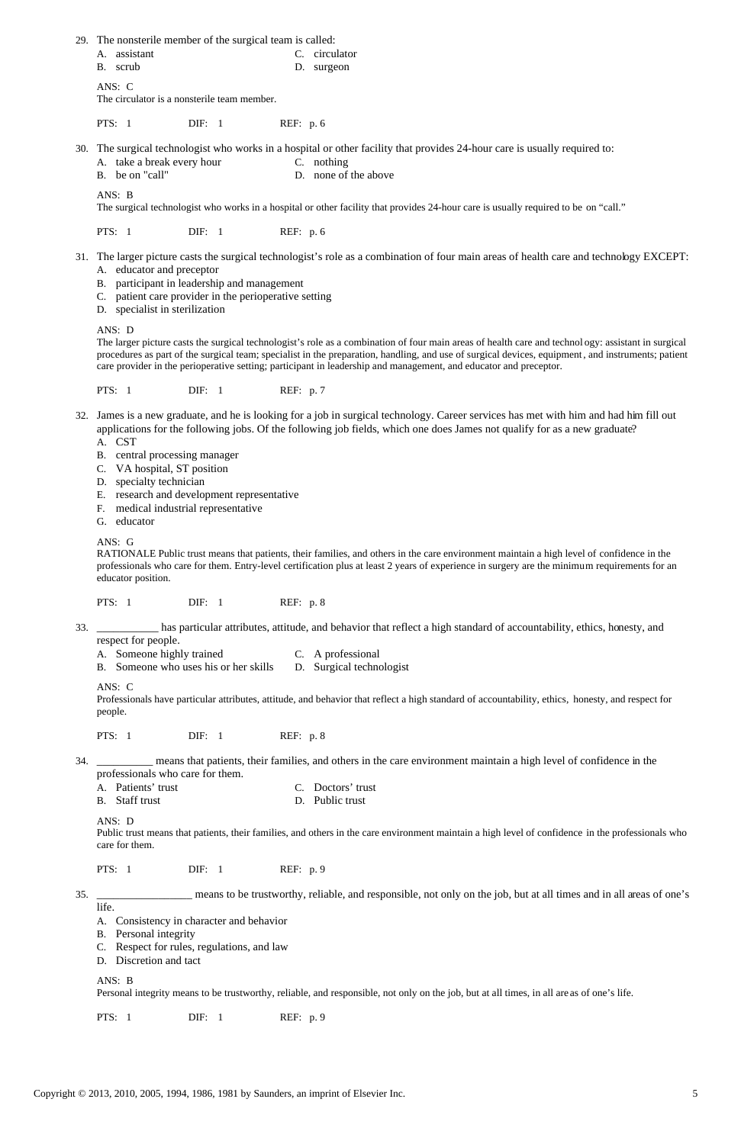- A. assistant C. circulator
- B. scrub D. surgeon

29. The nonsterile member of the surgical team is called:

ANS: C

The circulator is a nonsterile team member.

PTS: 1 DIF: 1 REF: p. 6

30. The surgical technologist who works in a hospital or other facility that provides 24-hour care is usually required to:

|  | A. take a break every hour | C. nothing |
|--|----------------------------|------------|
|  |                            |            |

B. be on "call" D. none of the above

ANS: B

The surgical technologist who works in a hospital or other facility that provides 24-hour care is usually required to be on "call."

PTS: 1 DIF: 1 REF: p. 6

- 31. The larger picture casts the surgical technologist's role as a combination of four main areas of health care and technology EXCEPT: A. educator and preceptor
	- B. participant in leadership and management
	- C. patient care provider in the perioperative setting
	- D. specialist in sterilization

ANS: D

The larger picture casts the surgical technologist's role as a combination of four main areas of health care and technol ogy: assistant in surgical procedures as part of the surgical team; specialist in the preparation, handling, and use of surgical devices, equipment, and instruments; patient care provider in the perioperative setting; participant in leadership and management, and educator and preceptor.

PTS: 1 DIF: 1 REF: p. 7

- A. Someone highly trained C. A professional
- B. Someone who uses his or her skills D. Surgical technologist

- A. Patients' trust C. Doctors' trust
- B. Staff trust D. Public trust

 32. James is a new graduate, and he is looking for a job in surgical technology. Career services has met with him and had him fill out applications for the following jobs. Of the following job fields, which one does James not qualify for as a new graduate?

A. CST

- B. central processing manager
- C. VA hospital, ST position
- D. specialty technician
- E. research and development representative
- F. medical industrial representative
- G. educator

ANS: G

RATIONALE Public trust means that patients, their families, and others in the care environment maintain a high level of confidence in the professionals who care for them. Entry-level certification plus at least 2 years of experience in surgery are the minimum requirements for an educator position.

PTS: 1 DIF: 1 REF: p. 8

 33. \_\_\_\_\_\_\_\_\_\_\_ has particular attributes, attitude, and behavior that reflect a high standard of accountability, ethics, honesty, and respect for people.

ANS: C

Professionals have particular attributes, attitude, and behavior that reflect a high standard of accountability, ethics, honesty, and respect for people.

PTS: 1 DIF: 1 REF: p. 8

 34. \_\_\_\_\_\_\_\_\_\_ means that patients, their families, and others in the care environment maintain a high level of confidence in the professionals who care for them.

ANS: D

Public trust means that patients, their families, and others in the care environment maintain a high level of confidence in the professionals who

care for them.

PTS: 1 DIF: 1 REF: p. 9

 35. \_\_\_\_\_\_\_\_\_\_\_\_\_\_\_\_\_ means to be trustworthy, reliable, and responsible, not only on the job, but at all times and in all areas of one's life.

- A. Consistency in character and behavior
- B. Personal integrity
- C. Respect for rules, regulations, and law
- D. Discretion and tact

ANS: B

Personal integrity means to be trustworthy, reliable, and responsible, not only on the job, but at all times, in all are as of one's life.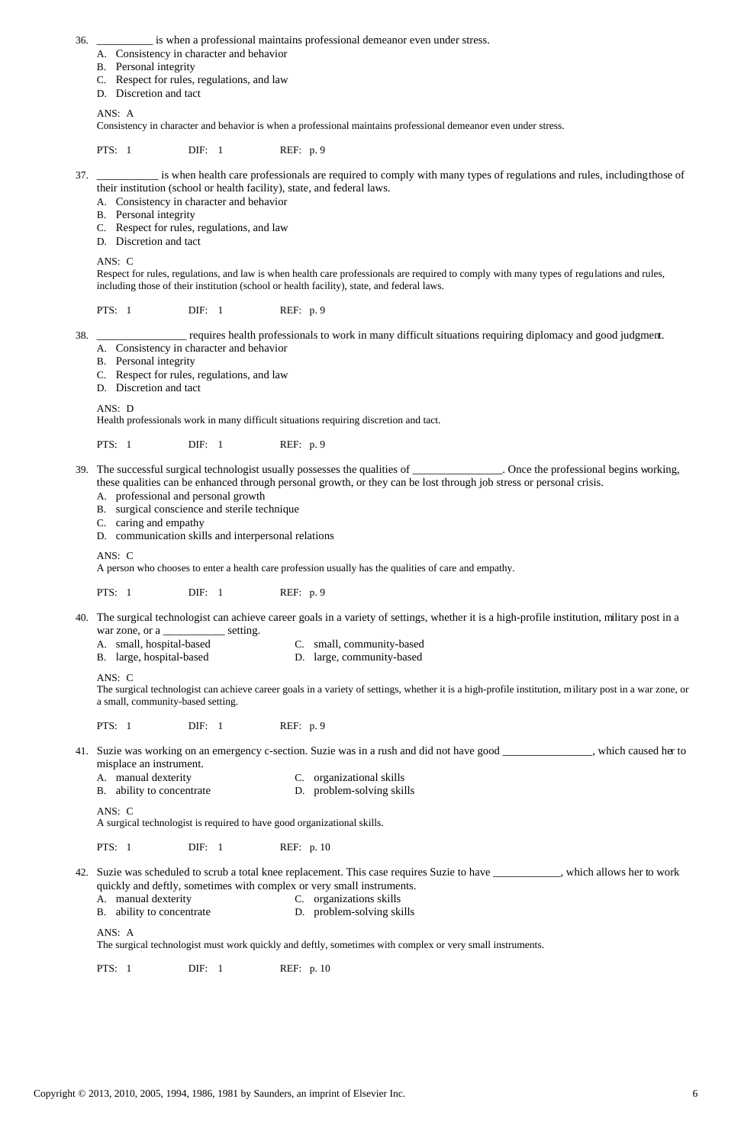- 36. \_\_\_\_\_\_\_\_\_\_ is when a professional maintains professional demeanor even under stress.
	- A. Consistency in character and behavior
	- B. Personal integrity
	- C. Respect for rules, regulations, and law
	- D. Discretion and tact

## ANS: A

Consistency in character and behavior is when a professional maintains professional demeanor even under stress.

PTS: 1 DIF: 1 REF: p. 9

 37. \_\_\_\_\_\_\_\_\_\_\_ is when health care professionals are required to comply with many types of regulations and rules, including those of their institution (school or health facility), state, and federal laws.

- A. Consistency in character and behavior
- B. Personal integrity
- C. Respect for rules, regulations, and law
- D. Discretion and tact

## ANS: C

Respect for rules, regulations, and law is when health care professionals are required to comply with many types of regulations and rules, including those of their institution (school or health facility), state, and federal laws.

PTS: 1 DIF: 1 REF: p. 9

 40. The surgical technologist can achieve career goals in a variety of settings, whether it is a high-profile institution, military post in a war zone, or a \_\_\_\_\_\_\_\_\_\_\_\_\_\_ setting.

- A. small, hospital-based C. small, community-based
- B. large, hospital-based D. large, community-based

38. \_\_\_\_\_\_\_\_\_\_\_\_\_\_\_\_ requires health professionals to work in many difficult situations requiring diplomacy and good judgment.

- 41. Suzie was working on an emergency c-section. Suzie was in a rush and did not have good \_\_\_\_\_\_\_\_\_\_\_\_\_\_\_\_, which caused her to misplace an instrument.
	- A. manual dexterity C. organizational skills
	- B. ability to concentrate D. problem-solving skills
- A. Consistency in character and behavior
- B. Personal integrity
- C. Respect for rules, regulations, and law
- D. Discretion and tact

ANS: D

Health professionals work in many difficult situations requiring discretion and tact.

PTS: 1 DIF: 1 REF: p. 9

- 42. Suzie was scheduled to scrub a total knee replacement. This case requires Suzie to have \_\_\_\_\_\_\_\_\_\_\_\_, which allows her to work quickly and deftly, sometimes with complex or very small instruments.
	- A. manual dexterity C. organizations skills
	- B. ability to concentrate D. problem-solving skills
- 39. The successful surgical technologist usually possesses the qualities of \_\_\_\_\_\_\_\_\_\_\_\_\_\_\_\_. Once the professional begins working, these qualities can be enhanced through personal growth, or they can be lost through job stress or personal crisis.
	- A. professional and personal growth
	- B. surgical conscience and sterile technique
	- C. caring and empathy
	- D. communication skills and interpersonal relations

ANS: C

A person who chooses to enter a health care profession usually has the qualities of care and empathy.

PTS: 1 DIF: 1 REF: p. 9

ANS: C

The surgical technologist can achieve career goals in a variety of settings, whether it is a high-profile institution, military post in a war zone, or a small, community-based setting.

PTS: 1 DIF: 1 REF: p. 9

ANS: C

A surgical technologist is required to have good organizational skills.

PTS: 1 DIF: 1 REF: p. 10

ANS: A

The surgical technologist must work quickly and deftly, sometimes with complex or very small instruments.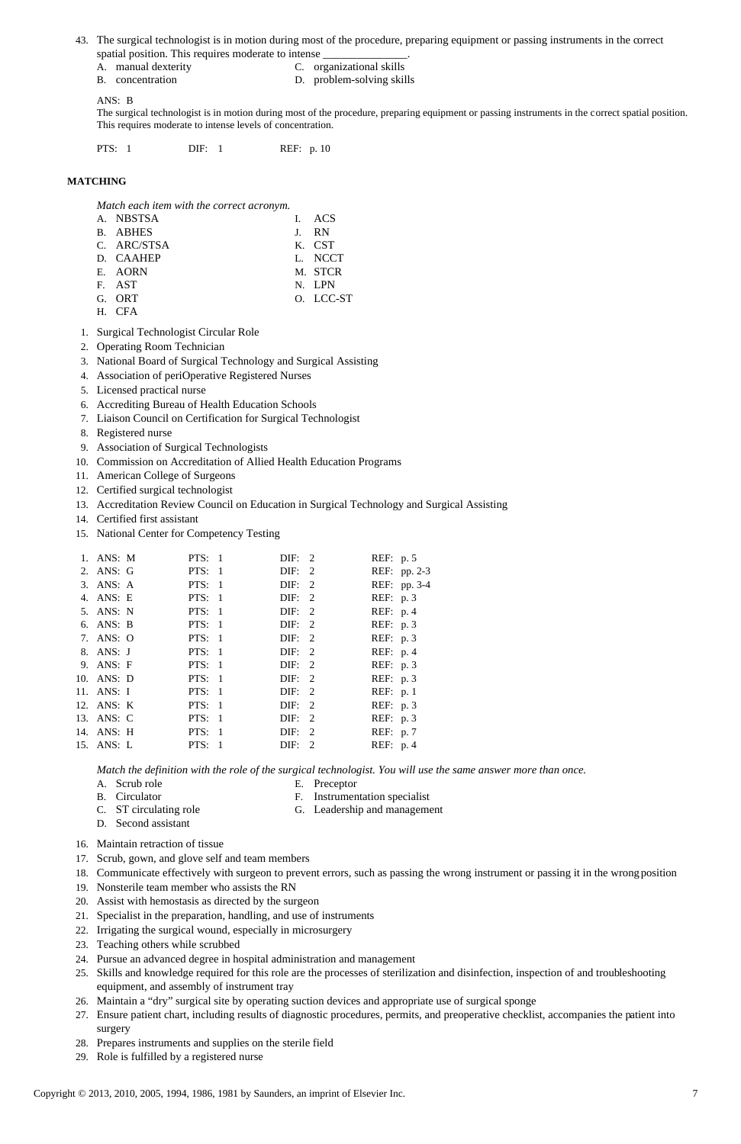## 43. The surgical technologist is in motion during most of the procedure, preparing equipment or passing instruments in the correct spatial position. This requires moderate to intense

- A. manual dexterity C. organizational skills
- B. concentration D. problem-solving skills

ANS: B

The surgical technologist is in motion during most of the procedure, preparing equipment or passing instruments in the correct spatial position. This requires moderate to intense levels of concentration.

PTS: 1 DIF: 1 REF: p. 10

## **MATCHING**

*Match each item with the correct acronym.*

| A. NBSTSA   | I. ACS    |
|-------------|-----------|
| B. ABHES    | J. RN     |
| C. ARC/STSA | K. CST    |
| D. CAAHEP   | L. NCCT   |
| E. AORN     | M. STCR   |
| F. AST      | N. LPN    |
| G. ORT      | O. LCC-ST |
| H. CFA      |           |

- 1. Surgical Technologist Circular Role
- 2. Operating Room Technician
- 3. National Board of Surgical Technology and Surgical Assisting
- 4. Association of periOperative Registered Nurses
- 5. Licensed practical nurse
- 6. Accrediting Bureau of Health Education Schools
- 7. Liaison Council on Certification for Surgical Technologist
- 8. Registered nurse
- 9. Association of Surgical Technologists
- 10. Commission on Accreditation of Allied Health Education Programs
- 11. American College of Surgeons
- 12. Certified surgical technologist
- 13. Accreditation Review Council on Education in Surgical Technology and Surgical Assisting
- 14. Certified first assistant
- 15. National Center for Competency Testing

|  | 1. ANS: M  | PTS: 1   | DIF: 2                |                | REF: p. 5  |              |
|--|------------|----------|-----------------------|----------------|------------|--------------|
|  | 2. ANS: G  | PTS: $1$ | $\text{DIF:} \quad 2$ |                |            | REF: pp. 2-3 |
|  | 3. ANS: A  | PTS: 1   | DIF: 2                |                |            | REF: pp. 3-4 |
|  | 4. ANS: E  | PTS: $1$ | DIF: 2                |                | REF: $p.3$ |              |
|  | 5. ANS: N  | PTS: $1$ | DIF: 2                |                | REF: $p.4$ |              |
|  | 6. ANS: B  | PTS: $1$ | DIF: 2                |                | REF: p. 3  |              |
|  | 7. ANS: O  | PTS: 1   | DIF: 2                |                | REF: $p.3$ |              |
|  | 8. ANS: J  | PTS: $1$ | DIF: 2                |                | REF: p. 4  |              |
|  | 9. ANS: F  | PTS: 1   | $\text{DIF:} \quad 2$ |                | REF: $p.3$ |              |
|  | 10. ANS: D | PTS: $1$ | DIF: 2                |                | REF: p. 3  |              |
|  | 11. ANS: I | PTS: 1   | DIF: 2                |                | REF: $p.1$ |              |
|  | 12. ANS: K | PTS: 1   | DIF: 2                |                | REF: p. 3  |              |
|  | 13. ANS: C | PTS: 1   | DIF: 2                |                | REF: p. 3  |              |
|  | 14. ANS: H | PTS: 1   | DIF: 2                |                | REF: p. 7  |              |
|  | 15. ANS: L | PTS: 1   | DIF:                  | $\overline{2}$ | REF: $p.4$ |              |
|  |            |          |                       |                |            |              |

*Match the definition with the role of the surgical technologist. You will use the same answer more than once.*

- A. Scrub role E. Preceptor
- 
- B. Circulator F. Instrumentation specialist
- C. ST circulating role G. Leadership and management

- 16. Maintain retraction of tissue
- 17. Scrub, gown, and glove self and team members
- 18. Communicate effectively with surgeon to prevent errors, such as passing the wrong instrument or passing it in the wrong position
- 19. Nonsterile team member who assists the RN
- 20. Assist with hemostasis as directed by the surgeon
- 21. Specialist in the preparation, handling, and use of instruments
- 22. Irrigating the surgical wound, especially in microsurgery
- 23. Teaching others while scrubbed
- 24. Pursue an advanced degree in hospital administration and management
- 25. Skills and knowledge required for this role are the processes of sterilization and disinfection, inspection of and troubleshooting equipment, and assembly of instrument tray
- 26. Maintain a "dry" surgical site by operating suction devices and appropriate use of surgical sponge
- 27. Ensure patient chart, including results of diagnostic procedures, permits, and preoperative checklist, accompanies the patient into surgery
- 28. Prepares instruments and supplies on the sterile field
- 29. Role is fulfilled by a registered nurse